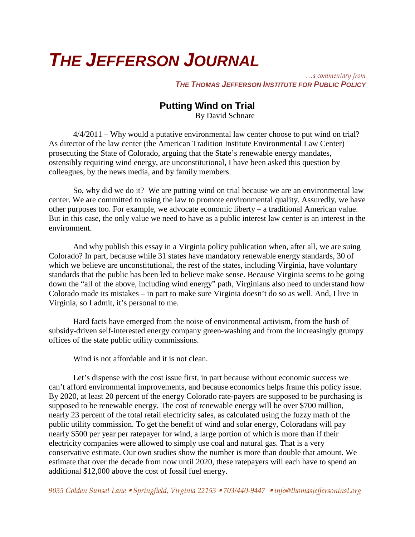## *THE JEFFERSON JOURNAL*

*…a commentary from THE THOMAS JEFFERSON INSTITUTE FOR PUBLIC POLICY*

## **Putting Wind on Trial**

By David Schnare

4/4/2011 – Why would a putative environmental law center choose to put wind on trial? As director of the law center (the American Tradition Institute Environmental Law Center) prosecuting the State of Colorado, arguing that the State's renewable energy mandates, ostensibly requiring wind energy, are unconstitutional, I have been asked this question by colleagues, by the news media, and by family members.

So, why did we do it? We are putting wind on trial because we are an environmental law center. We are committed to using the law to promote environmental quality. Assuredly, we have other purposes too. For example, we advocate economic liberty – a traditional American value. But in this case, the only value we need to have as a public interest law center is an interest in the environment.

And why publish this essay in a Virginia policy publication when, after all, we are suing Colorado? In part, because while 31 states have mandatory renewable energy standards, 30 of which we believe are unconstitutional, the rest of the states, including Virginia, have voluntary standards that the public has been led to believe make sense. Because Virginia seems to be going down the "all of the above, including wind energy" path, Virginians also need to understand how Colorado made its mistakes – in part to make sure Virginia doesn't do so as well. And, I live in Virginia, so I admit, it's personal to me.

Hard facts have emerged from the noise of environmental activism, from the hush of subsidy-driven self-interested energy company green-washing and from the increasingly grumpy offices of the state public utility commissions.

Wind is not affordable and it is not clean.

Let's dispense with the cost issue first, in part because without economic success we can't afford environmental improvements, and because economics helps frame this policy issue. By 2020, at least 20 percent of the energy Colorado rate-payers are supposed to be purchasing is supposed to be renewable energy. The cost of renewable energy will be over \$700 million, nearly 23 percent of the total retail electricity sales, as calculated using the fuzzy math of the public utility commission. To get the benefit of wind and solar energy, Coloradans will pay nearly \$500 per year per ratepayer for wind, a large portion of which is more than if their electricity companies were allowed to simply use coal and natural gas. That is a very conservative estimate. Our own studies show the number is more than double that amount. We estimate that over the decade from now until 2020, these ratepayers will each have to spend an additional \$12,000 above the cost of fossil fuel energy.

*9035 Golden Sunset Lane Springfield, Virginia 22153 703/440-9447 info@thomasjeffersoninst.org*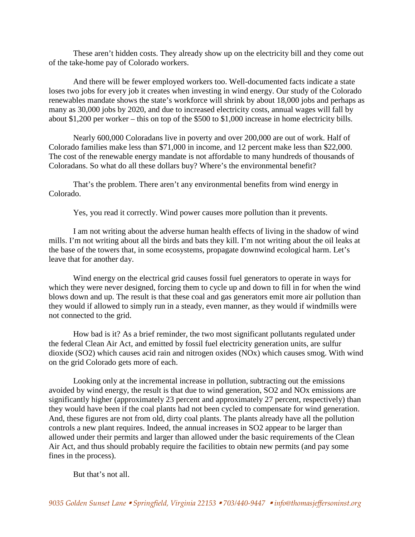These aren't hidden costs. They already show up on the electricity bill and they come out of the take-home pay of Colorado workers.

And there will be fewer employed workers too. Well-documented facts indicate a state loses two jobs for every job it creates when investing in wind energy. Our study of the Colorado renewables mandate shows the state's workforce will shrink by about 18,000 jobs and perhaps as many as 30,000 jobs by 2020, and due to increased electricity costs, annual wages will fall by about \$1,200 per worker – this on top of the \$500 to \$1,000 increase in home electricity bills.

Nearly 600,000 Coloradans live in poverty and over 200,000 are out of work. Half of Colorado families make less than \$71,000 in income, and 12 percent make less than \$22,000. The cost of the renewable energy mandate is not affordable to many hundreds of thousands of Coloradans. So what do all these dollars buy? Where's the environmental benefit?

That's the problem. There aren't any environmental benefits from wind energy in Colorado.

Yes, you read it correctly. Wind power causes more pollution than it prevents.

I am not writing about the adverse human health effects of living in the shadow of wind mills. I'm not writing about all the birds and bats they kill. I'm not writing about the oil leaks at the base of the towers that, in some ecosystems, propagate downwind ecological harm. Let's leave that for another day.

Wind energy on the electrical grid causes fossil fuel generators to operate in ways for which they were never designed, forcing them to cycle up and down to fill in for when the wind blows down and up. The result is that these coal and gas generators emit more air pollution than they would if allowed to simply run in a steady, even manner, as they would if windmills were not connected to the grid.

How bad is it? As a brief reminder, the two most significant pollutants regulated under the federal Clean Air Act, and emitted by fossil fuel electricity generation units, are sulfur dioxide (SO2) which causes acid rain and nitrogen oxides (NOx) which causes smog. With wind on the grid Colorado gets more of each.

Looking only at the incremental increase in pollution, subtracting out the emissions avoided by wind energy, the result is that due to wind generation, SO2 and NOx emissions are significantly higher (approximately 23 percent and approximately 27 percent, respectively) than they would have been if the coal plants had not been cycled to compensate for wind generation. And, these figures are not from old, dirty coal plants. The plants already have all the pollution controls a new plant requires. Indeed, the annual increases in SO2 appear to be larger than allowed under their permits and larger than allowed under the basic requirements of the Clean Air Act, and thus should probably require the facilities to obtain new permits (and pay some fines in the process).

But that's not all.